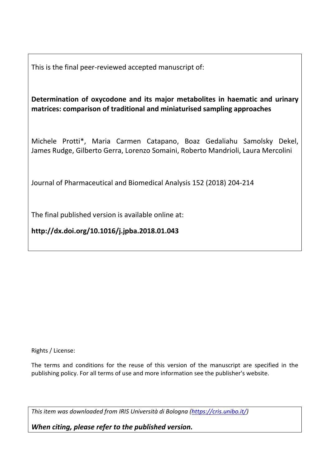This is the final peer-reviewed accepted manuscript of:

**Determination of oxycodone and its major metabolites in haematic and urinary matrices: comparison of traditional and miniaturised sampling approaches** 

Michele Protti\*, Maria Carmen Catapano, Boaz Gedaliahu Samolsky Dekel, James Rudge, Gilberto Gerra, Lorenzo Somaini, Roberto Mandrioli, Laura Mercolini

Journal of Pharmaceutical and Biomedical Analysis 152 (2018) 204-214

The final published version is available online at:

**http://dx.doi.org/10.1016/j.jpba.2018.01.043** 

Rights / License:

The terms and conditions for the reuse of this version of the manuscript are specified in the publishing policy. For all terms of use and more information see the publisher's website.

*This item was downloaded from IRIS Università di Bologna [\(https://cris.unibo.it/\)](https://cris.unibo.it/)*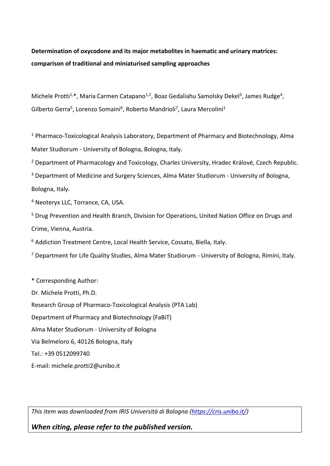# **Determination of oxycodone and its major metabolites in haematic and urinary matrices: comparison of traditional and miniaturised sampling approaches**

Michele Protti<sup>1,\*</sup>, Maria Carmen Catapano<sup>1,2</sup>, Boaz Gedaliahu Samolsky Dekel<sup>3</sup>, James Rudge<sup>4</sup>, Gilberto Gerra<sup>5</sup>, Lorenzo Somaini<sup>6</sup>, Roberto Mandrioli<sup>7</sup>, Laura Mercolini<sup>1</sup>

<sup>1</sup> Pharmaco-Toxicological Analysis Laboratory, Department of Pharmacy and Biotechnology, Alma Mater Studiorum - University of Bologna, Bologna, Italy.

<sup>2</sup> Department of Pharmacology and Toxicology, Charles University, Hradec Králové, Czech Republic.

<sup>3</sup> Department of Medicine and Surgery Sciences, Alma Mater Studiorum - University of Bologna, Bologna, Italy.

4 Neoteryx LLC, Torrance, CA, USA.

<sup>5</sup> Drug Prevention and Health Branch, Division for Operations, United Nation Office on Drugs and Crime, Vienna, Austria.

<sup>6</sup> Addiction Treatment Centre, Local Health Service, Cossato, Biella, Italy.

<sup>7</sup> Department for Life Quality Studies, Alma Mater Studiorum - University of Bologna, Rimini, Italy.

\* Corresponding Author: Dr. Michele Protti, Ph.D. Research Group of Pharmaco-Toxicological Analysis (PTA Lab) Department of Pharmacy and Biotechnology (FaBiT) Alma Mater Studiorum - University of Bologna Via Belmeloro 6, 40126 Bologna, Italy Tel.: +39 0512099740 E-mail: michele.protti2@unibo.it

*This item was downloaded from IRIS Università di Bologna [\(https://cris.unibo.it/\)](https://cris.unibo.it/)*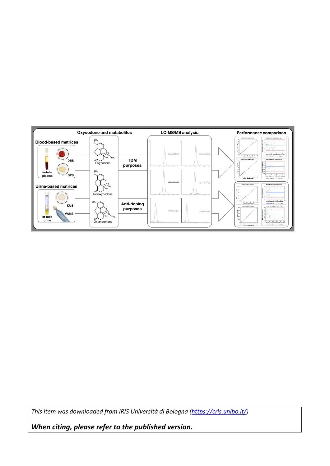

*This item was downloaded from IRIS Università di Bologna [\(https://cris.unibo.it/\)](https://cris.unibo.it/)*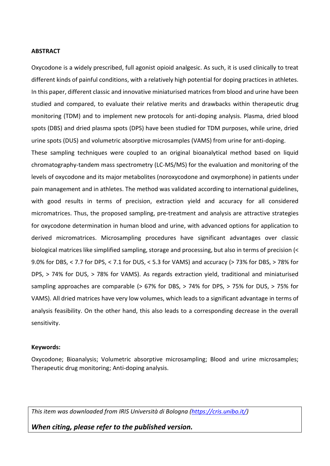#### **ABSTRACT**

Oxycodone is a widely prescribed, full agonist opioid analgesic. As such, it is used clinically to treat different kinds of painful conditions, with a relatively high potential for doping practices in athletes. In this paper, different classic and innovative miniaturised matrices from blood and urine have been studied and compared, to evaluate their relative merits and drawbacks within therapeutic drug monitoring (TDM) and to implement new protocols for anti-doping analysis. Plasma, dried blood spots (DBS) and dried plasma spots (DPS) have been studied for TDM purposes, while urine, dried urine spots (DUS) and volumetric absorptive microsamples (VAMS) from urine for anti-doping.

These sampling techniques were coupled to an original bioanalytical method based on liquid chromatography-tandem mass spectrometry (LC-MS/MS) for the evaluation and monitoring of the levels of oxycodone and its major metabolites (noroxycodone and oxymorphone) in patients under pain management and in athletes. The method was validated according to international guidelines, with good results in terms of precision, extraction yield and accuracy for all considered micromatrices. Thus, the proposed sampling, pre-treatment and analysis are attractive strategies for oxycodone determination in human blood and urine, with advanced options for application to derived micromatrices. Microsampling procedures have significant advantages over classic biological matrices like simplified sampling, storage and processing, but also in terms of precision (< 9.0% for DBS, < 7.7 for DPS, < 7.1 for DUS, < 5.3 for VAMS) and accuracy (> 73% for DBS, > 78% for DPS, > 74% for DUS, > 78% for VAMS). As regards extraction yield, traditional and miniaturised sampling approaches are comparable (> 67% for DBS, > 74% for DPS, > 75% for DUS, > 75% for VAMS). All dried matrices have very low volumes, which leads to a significant advantage in terms of analysis feasibility. On the other hand, this also leads to a corresponding decrease in the overall sensitivity.

#### **Keywords:**

Oxycodone; Bioanalysis; Volumetric absorptive microsampling; Blood and urine microsamples; Therapeutic drug monitoring; Anti-doping analysis.

*This item was downloaded from IRIS Università di Bologna [\(https://cris.unibo.it/\)](https://cris.unibo.it/)*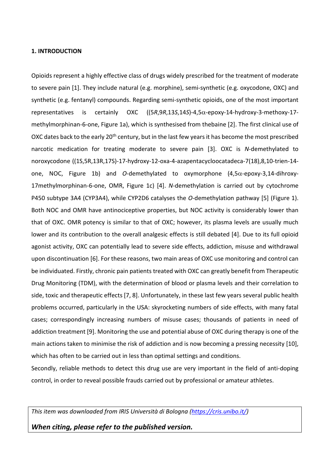#### **1. INTRODUCTION**

<span id="page-4-0"></span>Opioids represent a highly effective class of drugs widely prescribed for the treatment of moderate to severe pain [1]. They include natural (e.g. morphine), semi-synthetic (e.g. oxycodone, OXC) and synthetic (e.g. fentanyl) compounds. Regarding semi-synthetic opioids, one of the most important representatives is certainly OXC ((5*R*,9*R*,13*S*,14*S*)-4,5-epoxy-14-hydroxy-3-methoxy-17 methylmorphinan-6-one, Figure 1a), which is synthesised from thebaine [2]. The first clinical use of OXC dates back to the early 20<sup>th</sup> century, but in the last few years it has become the most prescribed narcotic medication for treating moderate to severe pain [3]. OXC is *N*-demethylated to noroxycodone ((1S,5R,13R,17S)-17-hydroxy-12-oxa-4-azapentacycloocatadeca-7(18),8,10-trien-14 one, NOC, Figure 1b) and *O*-demethylated to oxymorphone  $(4.5\alpha$ -epoxy-3,14-dihroxy-17methylmorphinan-6-one, OMR, Figure 1c) [4]. *N*-demethylation is carried out by cytochrome P450 subtype 3A4 (CYP3A4), while CYP2D6 catalyses the *O*-demethylation pathway [5] (Figure 1). Both NOC and OMR have antinociceptive properties, but NOC activity is considerably lower than that of OXC. OMR potency is similar to that of OXC; however, its plasma levels are usually much lower and its contribution to the overall analgesic effects is still debated [\[4\]](#page-4-0). Due to its full opioid agonist activity, OXC can potentially lead to severe side effects, addiction, misuse and withdrawal upon discontinuation [6]. For these reasons, two main areas of OXC use monitoring and control can be individuated. Firstly, chronic pain patients treated with OXC can greatly benefit from Therapeutic Drug Monitoring (TDM), with the determination of blood or plasma levels and their correlation to side, toxic and therapeutic effects [7, 8]. Unfortunately, in these last few years several public health problems occurred, particularly in the USA: skyrocketing numbers of side effects, with many fatal cases; correspondingly increasing numbers of misuse cases; thousands of patients in need of addiction treatment [9]. Monitoring the use and potential abuse of OXC during therapy is one of the main actions taken to minimise the risk of addiction and is now becoming a pressing necessity [10], which has often to be carried out in less than optimal settings and conditions.

Secondly, reliable methods to detect this drug use are very important in the field of anti-doping control, in order to reveal possible frauds carried out by professional or amateur athletes.

*This item was downloaded from IRIS Università di Bologna [\(https://cris.unibo.it/\)](https://cris.unibo.it/)*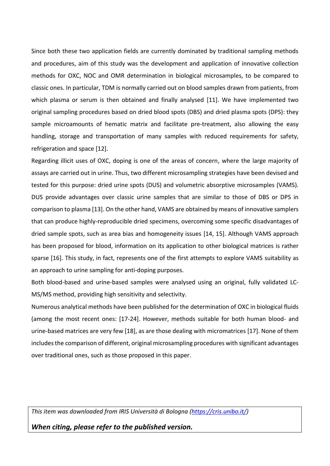Since both these two application fields are currently dominated by traditional sampling methods and procedures, aim of this study was the development and application of innovative collection methods for OXC, NOC and OMR determination in biological microsamples, to be compared to classic ones. In particular, TDM is normally carried out on blood samples drawn from patients, from which plasma or serum is then obtained and finally analysed [11]. We have implemented two original sampling procedures based on dried blood spots (DBS) and dried plasma spots (DPS): they sample microamounts of hematic matrix and facilitate pre-treatment, also allowing the easy handling, storage and transportation of many samples with reduced requirements for safety, refrigeration and space [12].

Regarding illicit uses of OXC, doping is one of the areas of concern, where the large majority of assays are carried out in urine. Thus, two different microsampling strategies have been devised and tested for this purpose: dried urine spots (DUS) and volumetric absorptive microsamples (VAMS). DUS provide advantages over classic urine samples that are similar to those of DBS or DPS in comparison to plasma [13]. On the other hand, VAMS are obtained by means of innovative samplers that can produce highly-reproducible dried specimens, overcoming some specific disadvantages of dried sample spots, such as area bias and homogeneity issues [14, 15]. Although VAMS approach has been proposed for blood, information on its application to other biological matrices is rather sparse [16]. This study, in fact, represents one of the first attempts to explore VAMS suitability as an approach to urine sampling for anti-doping purposes.

<span id="page-5-1"></span>Both blood-based and urine-based samples were analysed using an original, fully validated LC-MS/MS method, providing high sensitivity and selectivity.

<span id="page-5-0"></span>Numerous analytical methods have been published for the determination of OXC in biological fluids (among the most recent ones: [17-24]. However, methods suitable for both human blood- and urine-based matrices are very few [\[18\]](#page-5-0), as are those dealing with micromatrices [\[17\]](#page-5-0). None of them includes the comparison of different, original microsampling procedures with significant advantages over traditional ones, such as those proposed in this paper.

*This item was downloaded from IRIS Università di Bologna [\(https://cris.unibo.it/\)](https://cris.unibo.it/)*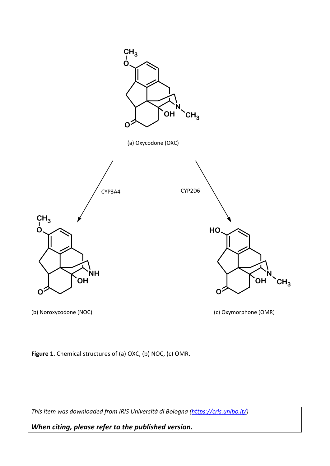

(b) Noroxycodone (NOC) (c) Oxymorphone (OMR)

Figure 1. Chemical structures of (a) OXC, (b) NOC, (c) OMR.

*This item was downloaded from IRIS Università di Bologna [\(https://cris.unibo.it/\)](https://cris.unibo.it/)*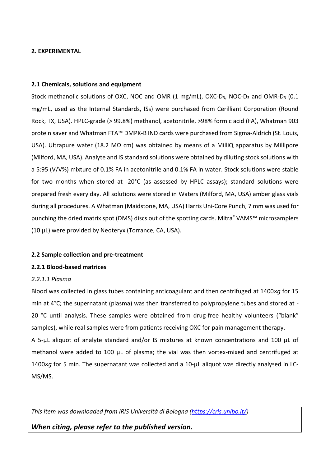# **2. EXPERIMENTAL**

# **2.1 Chemicals, solutions and equipment**

Stock methanolic solutions of OXC, NOC and OMR (1 mg/mL), OXC-D<sub>3</sub>, NOC-D<sub>3</sub> and OMR-D<sub>3</sub> (0.1 mg/mL, used as the Internal Standards, ISs) were purchased from Cerilliant Corporation (Round Rock, TX, USA). HPLC-grade (> 99.8%) methanol, acetonitrile, >98% formic acid (FA), Whatman 903 protein saver and Whatman FTA™ DMPK-B IND cards were purchased from Sigma-Aldrich (St. Louis, USA). Ultrapure water (18.2 M $\Omega$  cm) was obtained by means of a MilliQ apparatus by Millipore (Milford, MA, USA). Analyte and IS standard solutions were obtained by diluting stock solutions with a 5:95 (V/V%) mixture of 0.1% FA in acetonitrile and 0.1% FA in water. Stock solutions were stable for two months when stored at -20°C (as assessed by HPLC assays); standard solutions were prepared fresh every day. All solutions were stored in Waters (Milford, MA, USA) amber glass vials during all procedures. A Whatman (Maidstone, MA, USA) Harris Uni-Core Punch, 7 mm was used for punching the dried matrix spot (DMS) discs out of the spotting cards. Mitra® VAMS<sup>™</sup> microsamplers (10 µL) were provided by Neoteryx (Torrance, CA, USA).

# **2.2 Sample collection and pre-treatment**

# **2.2.1 Blood-based matrices**

# *2.2.1.1 Plasma*

Blood was collected in glass tubes containing anticoagulant and then centrifuged at 1400*×g* for 15 min at 4°C; the supernatant (plasma) was then transferred to polypropylene tubes and stored at - 20 °C until analysis. These samples were obtained from drug-free healthy volunteers ("blank" samples), while real samples were from patients receiving OXC for pain management therapy. A 5-μL aliquot of analyte standard and/or IS mixtures at known concentrations and 100 µL of methanol were added to 100  $\mu$ L of plasma; the vial was then vortex-mixed and centrifuged at 1400*×g* for 5 min. The supernatant was collected and a 10-µL aliquot was directly analysed in LC-MS/MS.

*This item was downloaded from IRIS Università di Bologna [\(https://cris.unibo.it/\)](https://cris.unibo.it/)*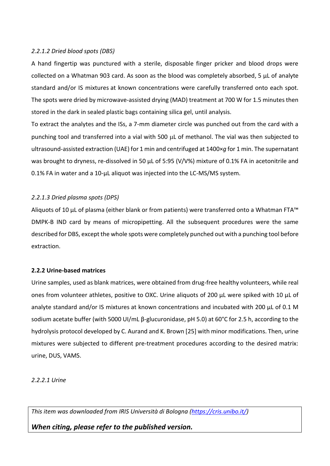# *2.2.1.2 Dried blood spots (DBS)*

A hand fingertip was punctured with a sterile, disposable finger pricker and blood drops were collected on a Whatman 903 card. As soon as the blood was completely absorbed, 5 µL of analyte standard and/or IS mixtures at known concentrations were carefully transferred onto each spot. The spots were dried by microwave-assisted drying (MAD) treatment at 700 W for 1.5 minutes then stored in the dark in sealed plastic bags containing silica gel, until analysis.

To extract the analytes and the ISs, a 7-mm diameter circle was punched out from the card with a punching tool and transferred into a vial with 500 µL of methanol. The vial was then subjected to ultrasound-assisted extraction (UAE) for 1 min and centrifuged at 1400×*g* for 1 min. The supernatant was brought to dryness, re-dissolved in 50 μL of 5:95 (V/V%) mixture of 0.1% FA in acetonitrile and 0.1% FA in water and a 10-μL aliquot was injected into the LC-MS/MS system.

# *2.2.1.3 Dried plasma spots (DPS)*

Aliquots of 10 µL of plasma (either blank or from patients) were transferred onto a Whatman FTA™ DMPK-B IND card by means of micropipetting. All the subsequent procedures were the same described for DBS, except the whole spots were completely punched out with a punching tool before extraction.

# **2.2.2 Urine-based matrices**

Urine samples, used as blank matrices, were obtained from drug-free healthy volunteers, while real ones from volunteer athletes, positive to OXC. Urine aliquots of 200 µL were spiked with 10 µL of analyte standard and/or IS mixtures at known concentrations and incubated with 200 µL of 0.1 M sodium acetate buffer (with 5000 UI/mL β-glucuronidase, pH 5.0) at 60°C for 2.5 h, according to the hydrolysis protocol developed by C. Aurand and K. Brown [25] with minor modifications. Then, urine mixtures were subjected to different pre-treatment procedures according to the desired matrix: urine, DUS, VAMS.

# *2.2.2.1 Urine*

*This item was downloaded from IRIS Università di Bologna [\(https://cris.unibo.it/\)](https://cris.unibo.it/)*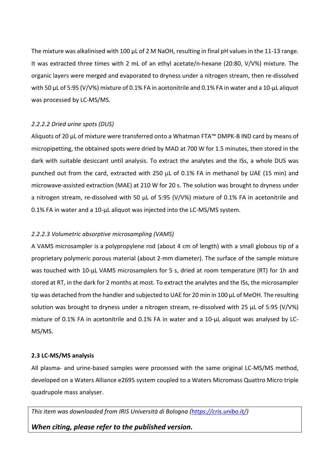The mixture was alkalinised with 100 µL of 2 M NaOH, resulting in final pH values in the 11-13 range. It was extracted three times with 2 mL of an ethyl acetate/n-hexane (20:80, V/V%) mixture. The organic layers were merged and evaporated to dryness under a nitrogen stream, then re-dissolved with 50 μL of 5:95 (V/V%) mixture of 0.1% FA in acetonitrile and 0.1% FA in water and a 10-μL aliquot was processed by LC-MS/MS.

# *2.2.2.2 Dried urine spots (DUS)*

Aliquots of 20 µL of mixture were transferred onto a Whatman FTA™ DMPK-B IND card by means of micropipetting, the obtained spots were dried by MAD at 700 W for 1.5 minutes, then stored in the dark with suitable desiccant until analysis. To extract the analytes and the ISs, a whole DUS was punched out from the card, extracted with 250  $\mu$ L of 0.1% FA in methanol by UAE (15 min) and microwave-assisted extraction (MAE) at 210 W for 20 s. The solution was brought to dryness under a nitrogen stream, re-dissolved with 50 μL of 5:95 (V/V%) mixture of 0.1% FA in acetonitrile and 0.1% FA in water and a 10-μL aliquot was injected into the LC-MS/MS system.

# *2.2.2.3 Volumetric absorptive microsampling (VAMS)*

A VAMS microsampler is a polypropylene rod (about 4 cm of length) with a small globous tip of a proprietary polymeric porous material (about 2-mm diameter). The surface of the sample mixture was touched with 10-µL VAMS microsamplers for 5 s, dried at room temperature (RT) for 1h and stored at RT, in the dark for 2 months at most. To extract the analytes and the ISs, the microsampler tip was detached from the handler and subjected to UAE for 20 min in 100 µL of MeOH. The resulting solution was brought to dryness under a nitrogen stream, re-dissolved with 25 μL of 5:95 (V/V%) mixture of 0.1% FA in acetonitrile and 0.1% FA in water and a 10-μL aliquot was analysed by LC-MS/MS.

# **2.3 LC-MS/MS analysis**

All plasma- and urine-based samples were processed with the same original LC-MS/MS method, developed on a Waters Alliance e2695 system coupled to a Waters Micromass Quattro Micro triple quadrupole mass analyser.

*This item was downloaded from IRIS Università di Bologna [\(https://cris.unibo.it/\)](https://cris.unibo.it/)*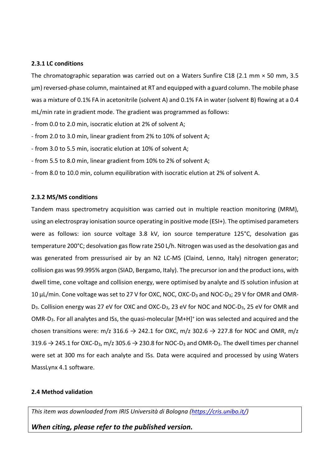# **2.3.1 LC conditions**

The chromatographic separation was carried out on a Waters Sunfire C18 (2.1 mm × 50 mm, 3.5 µm) reversed-phase column, maintained at RT and equipped with a guard column. The mobile phase was a mixture of 0.1% FA in acetonitrile (solvent A) and 0.1% FA in water (solvent B) flowing at a 0.4 mL/min rate in gradient mode. The gradient was programmed as follows:

- from 0.0 to 2.0 min, isocratic elution at 2% of solvent A;
- from 2.0 to 3.0 min, linear gradient from 2% to 10% of solvent A;
- from 3.0 to 5.5 min, isocratic elution at 10% of solvent A;
- from 5.5 to 8.0 min, linear gradient from 10% to 2% of solvent A;
- from 8.0 to 10.0 min, column equilibration with isocratic elution at 2% of solvent A.

### **2.3.2 MS/MS conditions**

Tandem mass spectrometry acquisition was carried out in multiple reaction monitoring (MRM), using an electrospray ionisation source operating in positive mode (ESI+). The optimised parameters were as follows: ion source voltage 3.8 kV, ion source temperature 125°C, desolvation gas temperature 200°C; desolvation gas flow rate 250 L/h. Nitrogen was used as the desolvation gas and was generated from pressurised air by an N2 LC-MS (Claind, Lenno, Italy) nitrogen generator; collision gas was 99.995% argon (SIAD, Bergamo, Italy). The precursor ion and the product ions, with dwell time, cone voltage and collision energy, were optimised by analyte and IS solution infusion at 10 μL/min. Cone voltage was set to 27 V for OXC, NOC, OXC-D<sub>3</sub> and NOC-D<sub>3</sub>; 29 V for OMR and OMR-D<sub>3</sub>. Collision energy was 27 eV for OXC and OXC-D<sub>3</sub>, 23 eV for NOC and NOC-D<sub>3</sub>, 25 eV for OMR and OMR-D<sub>3</sub>. For all analytes and ISs, the quasi-molecular [M+H]<sup>+</sup> ion was selected and acquired and the chosen transitions were:  $m/z$  316.6  $\rightarrow$  242.1 for OXC,  $m/z$  302.6  $\rightarrow$  227.8 for NOC and OMR,  $m/z$  $319.6 \rightarrow 245.1$  for OXC-D<sub>3</sub>, m/z 305.6  $\rightarrow$  230.8 for NOC-D<sub>3</sub> and OMR-D<sub>3</sub>. The dwell times per channel were set at 300 ms for each analyte and ISs. Data were acquired and processed by using Waters MassLynx 4.1 software.

# **2.4 Method validation**

*This item was downloaded from IRIS Università di Bologna [\(https://cris.unibo.it/\)](https://cris.unibo.it/)*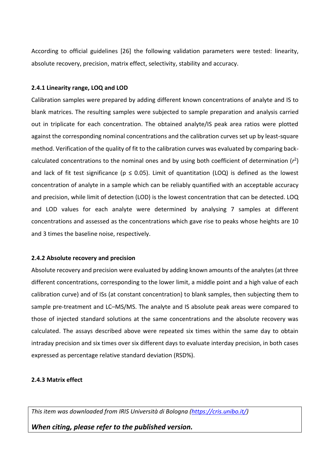According to official guidelines [26] the following validation parameters were tested: linearity, absolute recovery, precision, matrix effect, selectivity, stability and accuracy.

# **2.4.1 Linearity range, LOQ and LOD**

Calibration samples were prepared by adding different known concentrations of analyte and IS to blank matrices. The resulting samples were subjected to sample preparation and analysis carried out in triplicate for each concentration. The obtained analyte/IS peak area ratios were plotted against the corresponding nominal concentrations and the calibration curves set up by least-square method. Verification of the quality of fit to the calibration curves was evaluated by comparing backcalculated concentrations to the nominal ones and by using both coefficient of determination (*r* 2 ) and lack of fit test significance ( $p \le 0.05$ ). Limit of quantitation (LOQ) is defined as the lowest concentration of analyte in a sample which can be reliably quantified with an acceptable accuracy and precision, while limit of detection (LOD) is the lowest concentration that can be detected. LOQ and LOD values for each analyte were determined by analysing 7 samples at different concentrations and assessed as the concentrations which gave rise to peaks whose heights are 10 and 3 times the baseline noise, respectively.

# **2.4.2 Absolute recovery and precision**

Absolute recovery and precision were evaluated by adding known amounts of the analytes (at three different concentrations, corresponding to the lower limit, a middle point and a high value of each calibration curve) and of ISs (at constant concentration) to blank samples, then subjecting them to sample pre-treatment and LC–MS/MS. The analyte and IS absolute peak areas were compared to those of injected standard solutions at the same concentrations and the absolute recovery was calculated. The assays described above were repeated six times within the same day to obtain intraday precision and six times over six different days to evaluate interday precision, in both cases expressed as percentage relative standard deviation (RSD%).

# **2.4.3 Matrix effect**

*This item was downloaded from IRIS Università di Bologna [\(https://cris.unibo.it/\)](https://cris.unibo.it/)*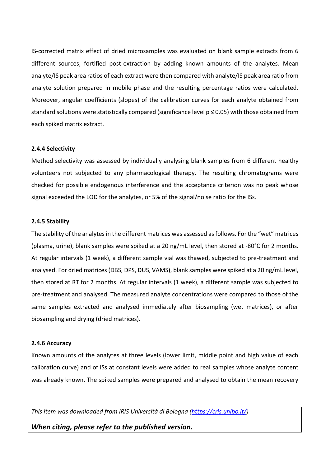IS-corrected matrix effect of dried microsamples was evaluated on blank sample extracts from 6 different sources, fortified post-extraction by adding known amounts of the analytes. Mean analyte/IS peak area ratios of each extract were then compared with analyte/IS peak area ratio from analyte solution prepared in mobile phase and the resulting percentage ratios were calculated. Moreover, angular coefficients (slopes) of the calibration curves for each analyte obtained from standard solutions were statistically compared (significance level p ≤ 0.05) with those obtained from each spiked matrix extract.

### **2.4.4 Selectivity**

Method selectivity was assessed by individually analysing blank samples from 6 different healthy volunteers not subjected to any pharmacological therapy. The resulting chromatograms were checked for possible endogenous interference and the acceptance criterion was no peak whose signal exceeded the LOD for the analytes, or 5% of the signal/noise ratio for the ISs.

### **2.4.5 Stability**

The stability of the analytes in the different matrices was assessed as follows. For the "wet" matrices (plasma, urine), blank samples were spiked at a 20 ng/mL level, then stored at -80°C for 2 months. At regular intervals (1 week), a different sample vial was thawed, subjected to pre-treatment and analysed. For dried matrices (DBS, DPS, DUS, VAMS), blank samples were spiked at a 20 ng/mL level, then stored at RT for 2 months. At regular intervals (1 week), a different sample was subjected to pre-treatment and analysed. The measured analyte concentrations were compared to those of the same samples extracted and analysed immediately after biosampling (wet matrices), or after biosampling and drying (dried matrices).

# **2.4.6 Accuracy**

Known amounts of the analytes at three levels (lower limit, middle point and high value of each calibration curve) and of ISs at constant levels were added to real samples whose analyte content was already known. The spiked samples were prepared and analysed to obtain the mean recovery

*This item was downloaded from IRIS Università di Bologna [\(https://cris.unibo.it/\)](https://cris.unibo.it/)*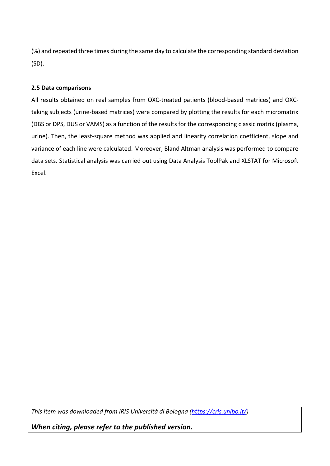(%) and repeated three times during the same day to calculate the corresponding standard deviation (SD).

# **2.5 Data comparisons**

All results obtained on real samples from OXC-treated patients (blood-based matrices) and OXCtaking subjects (urine-based matrices) were compared by plotting the results for each micromatrix (DBS or DPS, DUS or VAMS) as a function of the results for the corresponding classic matrix (plasma, urine). Then, the least-square method was applied and linearity correlation coefficient, slope and variance of each line were calculated. Moreover, Bland Altman analysis was performed to compare data sets. Statistical analysis was carried out using Data Analysis ToolPak and XLSTAT for Microsoft Excel.

*This item was downloaded from IRIS Università di Bologna [\(https://cris.unibo.it/\)](https://cris.unibo.it/)*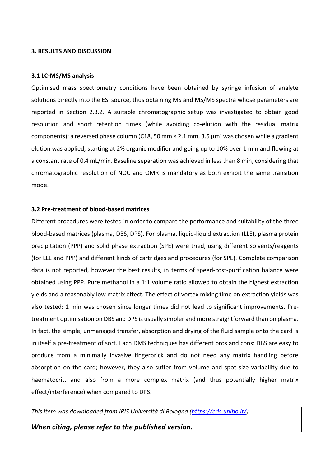#### **3. RESULTS AND DISCUSSION**

#### **3.1 LC-MS/MS analysis**

Optimised mass spectrometry conditions have been obtained by syringe infusion of analyte solutions directly into the ESI source, thus obtaining MS and MS/MS spectra whose parameters are reported in Section 2.3.2. A suitable chromatographic setup was investigated to obtain good resolution and short retention times (while avoiding co-elution with the residual matrix components): a reversed phase column (C18, 50 mm × 2.1 mm, 3.5 μm) was chosen while a gradient elution was applied, starting at 2% organic modifier and going up to 10% over 1 min and flowing at a constant rate of 0.4 mL/min. Baseline separation was achieved in less than 8 min, considering that chromatographic resolution of NOC and OMR is mandatory as both exhibit the same transition mode.

### **3.2 Pre-treatment of blood-based matrices**

Different procedures were tested in order to compare the performance and suitability of the three blood-based matrices (plasma, DBS, DPS). For plasma, liquid-liquid extraction (LLE), plasma protein precipitation (PPP) and solid phase extraction (SPE) were tried, using different solvents/reagents (for LLE and PPP) and different kinds of cartridges and procedures (for SPE). Complete comparison data is not reported, however the best results, in terms of speed-cost-purification balance were obtained using PPP. Pure methanol in a 1:1 volume ratio allowed to obtain the highest extraction yields and a reasonably low matrix effect. The effect of vortex mixing time on extraction yields was also tested: 1 min was chosen since longer times did not lead to significant improvements. Pretreatment optimisation on DBS and DPS is usually simpler and more straightforward than on plasma. In fact, the simple, unmanaged transfer, absorption and drying of the fluid sample onto the card is in itself a pre-treatment of sort. Each DMS techniques has different pros and cons: DBS are easy to produce from a minimally invasive fingerprick and do not need any matrix handling before absorption on the card; however, they also suffer from volume and spot size variability due to haematocrit, and also from a more complex matrix (and thus potentially higher matrix effect/interference) when compared to DPS.

*This item was downloaded from IRIS Università di Bologna [\(https://cris.unibo.it/\)](https://cris.unibo.it/)*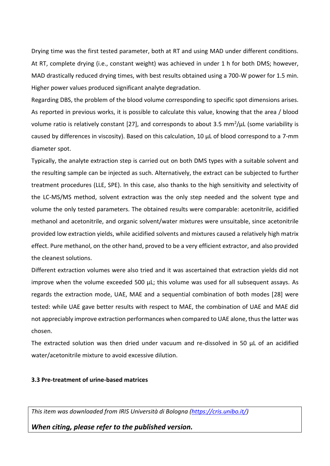Drying time was the first tested parameter, both at RT and using MAD under different conditions. At RT, complete drying (i.e., constant weight) was achieved in under 1 h for both DMS; however, MAD drastically reduced drying times, with best results obtained using a 700-W power for 1.5 min. Higher power values produced significant analyte degradation.

Regarding DBS, the problem of the blood volume corresponding to specific spot dimensions arises. As reported in previous works, it is possible to calculate this value, knowing that the area / blood volume ratio is relatively constant [27], and corresponds to about 3.5 mm<sup>2</sup>/ $\mu$ L (some variability is caused by differences in viscosity). Based on this calculation, 10 µL of blood correspond to a 7-mm diameter spot.

Typically, the analyte extraction step is carried out on both DMS types with a suitable solvent and the resulting sample can be injected as such. Alternatively, the extract can be subjected to further treatment procedures (LLE, SPE). In this case, also thanks to the high sensitivity and selectivity of the LC-MS/MS method, solvent extraction was the only step needed and the solvent type and volume the only tested parameters. The obtained results were comparable: acetonitrile, acidified methanol and acetonitrile, and organic solvent/water mixtures were unsuitable, since acetonitrile provided low extraction yields, while acidified solvents and mixtures caused a relatively high matrix effect. Pure methanol, on the other hand, proved to be a very efficient extractor, and also provided the cleanest solutions.

Different extraction volumes were also tried and it was ascertained that extraction yields did not improve when the volume exceeded 500 µL; this volume was used for all subsequent assays. As regards the extraction mode, UAE, MAE and a sequential combination of both modes [28] were tested: while UAE gave better results with respect to MAE, the combination of UAE and MAE did not appreciably improve extraction performances when compared to UAE alone, thus the latter was chosen.

The extracted solution was then dried under vacuum and re-dissolved in 50 µL of an acidified water/acetonitrile mixture to avoid excessive dilution.

### **3.3 Pre-treatment of urine-based matrices**

*This item was downloaded from IRIS Università di Bologna [\(https://cris.unibo.it/\)](https://cris.unibo.it/)*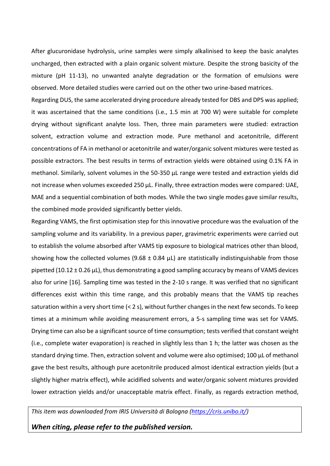After glucuronidase hydrolysis, urine samples were simply alkalinised to keep the basic analytes uncharged, then extracted with a plain organic solvent mixture. Despite the strong basicity of the mixture (pH 11-13), no unwanted analyte degradation or the formation of emulsions were observed. More detailed studies were carried out on the other two urine-based matrices.

Regarding DUS, the same accelerated drying procedure already tested for DBS and DPS was applied; it was ascertained that the same conditions (i.e., 1.5 min at 700 W) were suitable for complete drying without significant analyte loss. Then, three main parameters were studied: extraction solvent, extraction volume and extraction mode. Pure methanol and acetonitrile, different concentrations of FA in methanol or acetonitrile and water/organic solvent mixtures were tested as possible extractors. The best results in terms of extraction yields were obtained using 0.1% FA in methanol. Similarly, solvent volumes in the 50-350 µL range were tested and extraction yields did not increase when volumes exceeded 250 µL. Finally, three extraction modes were compared: UAE, MAE and a sequential combination of both modes. While the two single modes gave similar results, the combined mode provided significantly better yields.

Regarding VAMS, the first optimisation step for this innovative procedure was the evaluation of the sampling volume and its variability. In a previous paper, gravimetric experiments were carried out to establish the volume absorbed after VAMS tip exposure to biological matrices other than blood, showing how the collected volumes (9.68  $\pm$  0.84  $\mu$ L) are statistically indistinguishable from those pipetted (10.12 ± 0.26 μL), thus demonstrating a good sampling accuracy by means of VAMS devices also for urine [\[16\]](#page-5-1). Sampling time was tested in the 2-10 s range. It was verified that no significant differences exist within this time range, and this probably means that the VAMS tip reaches saturation within a very short time (< 2 s), without further changes in the next few seconds. To keep times at a minimum while avoiding measurement errors, a 5-s sampling time was set for VAMS. Drying time can also be a significant source of time consumption; tests verified that constant weight (i.e., complete water evaporation) is reached in slightly less than 1 h; the latter was chosen as the standard drying time. Then, extraction solvent and volume were also optimised; 100 µL of methanol gave the best results, although pure acetonitrile produced almost identical extraction yields (but a slightly higher matrix effect), while acidified solvents and water/organic solvent mixtures provided lower extraction yields and/or unacceptable matrix effect. Finally, as regards extraction method,

*This item was downloaded from IRIS Università di Bologna [\(https://cris.unibo.it/\)](https://cris.unibo.it/)*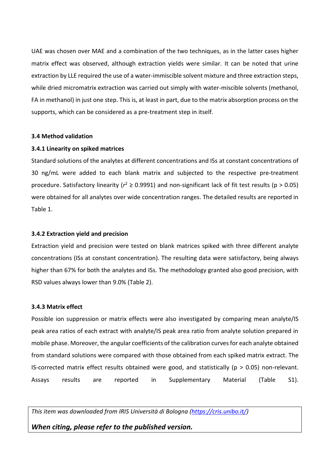UAE was chosen over MAE and a combination of the two techniques, as in the latter cases higher matrix effect was observed, although extraction yields were similar. It can be noted that urine extraction by LLE required the use of a water-immiscible solvent mixture and three extraction steps, while dried micromatrix extraction was carried out simply with water-miscible solvents (methanol, FA in methanol) in just one step. This is, at least in part, due to the matrix absorption process on the supports, which can be considered as a pre-treatment step in itself.

#### **3.4 Method validation**

#### **3.4.1 Linearity on spiked matrices**

Standard solutions of the analytes at different concentrations and ISs at constant concentrations of 30 ng/mL were added to each blank matrix and subjected to the respective pre-treatment procedure. Satisfactory linearity ( $r^2 \ge 0.9991$ ) and non-significant lack of fit test results ( $p > 0.05$ ) were obtained for all analytes over wide concentration ranges. The detailed results are reported in Table 1.

#### **3.4.2 Extraction yield and precision**

Extraction yield and precision were tested on blank matrices spiked with three different analyte concentrations (ISs at constant concentration). The resulting data were satisfactory, being always higher than 67% for both the analytes and ISs. The methodology granted also good precision, with RSD values always lower than 9.0% (Table 2).

#### **3.4.3 Matrix effect**

Possible ion suppression or matrix effects were also investigated by comparing mean analyte/IS peak area ratios of each extract with analyte/IS peak area ratio from analyte solution prepared in mobile phase. Moreover, the angular coefficients of the calibration curves for each analyte obtained from standard solutions were compared with those obtained from each spiked matrix extract. The IS-corrected matrix effect results obtained were good, and statistically ( $p > 0.05$ ) non-relevant. Assays results are reported in Supplementary Material (Table S1).

*This item was downloaded from IRIS Università di Bologna [\(https://cris.unibo.it/\)](https://cris.unibo.it/)*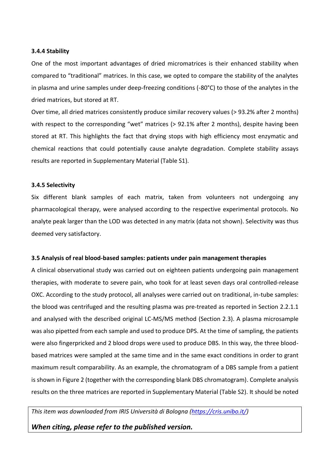## **3.4.4 Stability**

One of the most important advantages of dried micromatrices is their enhanced stability when compared to "traditional" matrices. In this case, we opted to compare the stability of the analytes in plasma and urine samples under deep-freezing conditions (-80°C) to those of the analytes in the dried matrices, but stored at RT.

Over time, all dried matrices consistently produce similar recovery values (> 93.2% after 2 months) with respect to the corresponding "wet" matrices (> 92.1% after 2 months), despite having been stored at RT. This highlights the fact that drying stops with high efficiency most enzymatic and chemical reactions that could potentially cause analyte degradation. Complete stability assays results are reported in Supplementary Material (Table S1).

### **3.4.5 Selectivity**

Six different blank samples of each matrix, taken from volunteers not undergoing any pharmacological therapy, were analysed according to the respective experimental protocols. No analyte peak larger than the LOD was detected in any matrix (data not shown). Selectivity was thus deemed very satisfactory.

# **3.5 Analysis of real blood-based samples: patients under pain management therapies**

A clinical observational study was carried out on eighteen patients undergoing pain management therapies, with moderate to severe pain, who took for at least seven days oral controlled-release OXC. According to the study protocol, all analyses were carried out on traditional, in-tube samples: the blood was centrifuged and the resulting plasma was pre-treated as reported in Section 2.2.1.1 and analysed with the described original LC-MS/MS method (Section 2.3). A plasma microsample was also pipetted from each sample and used to produce DPS. At the time of sampling, the patients were also fingerpricked and 2 blood drops were used to produce DBS. In this way, the three bloodbased matrices were sampled at the same time and in the same exact conditions in order to grant maximum result comparability. As an example, the chromatogram of a DBS sample from a patient is shown in Figure 2 (together with the corresponding blank DBS chromatogram). Complete analysis results on the three matrices are reported in Supplementary Material (Table S2). It should be noted

*This item was downloaded from IRIS Università di Bologna [\(https://cris.unibo.it/\)](https://cris.unibo.it/)*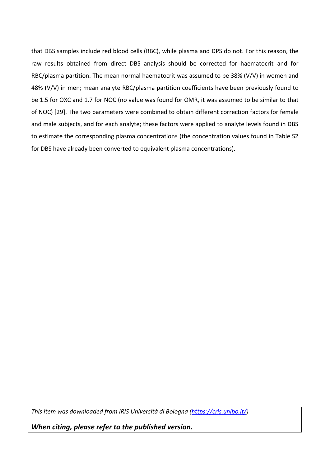that DBS samples include red blood cells (RBC), while plasma and DPS do not. For this reason, the raw results obtained from direct DBS analysis should be corrected for haematocrit and for RBC/plasma partition. The mean normal haematocrit was assumed to be 38% (V/V) in women and 48% (V/V) in men; mean analyte RBC/plasma partition coefficients have been previously found to be 1.5 for OXC and 1.7 for NOC (no value was found for OMR, it was assumed to be similar to that of NOC) [29]. The two parameters were combined to obtain different correction factors for female and male subjects, and for each analyte; these factors were applied to analyte levels found in DBS to estimate the corresponding plasma concentrations (the concentration values found in Table S2 for DBS have already been converted to equivalent plasma concentrations).

*This item was downloaded from IRIS Università di Bologna [\(https://cris.unibo.it/\)](https://cris.unibo.it/)*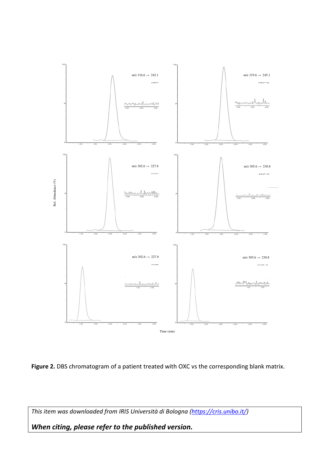

Figure 2. DBS chromatogram of a patient treated with OXC vs the corresponding blank matrix.

*This item was downloaded from IRIS Università di Bologna [\(https://cris.unibo.it/\)](https://cris.unibo.it/)*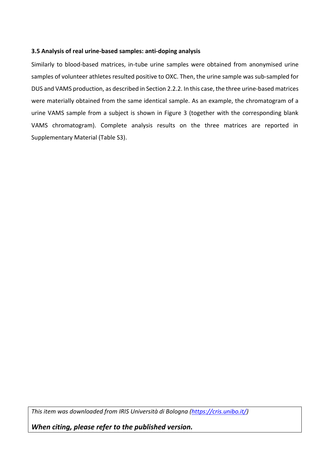# **3.5 Analysis of real urine-based samples: anti-doping analysis**

Similarly to blood-based matrices, in-tube urine samples were obtained from anonymised urine samples of volunteer athletes resulted positive to OXC. Then, the urine sample was sub-sampled for DUS and VAMS production, as described in Section 2.2.2. In this case, the three urine-based matrices were materially obtained from the same identical sample. As an example, the chromatogram of a urine VAMS sample from a subject is shown in Figure 3 (together with the corresponding blank VAMS chromatogram). Complete analysis results on the three matrices are reported in Supplementary Material (Table S3).

*This item was downloaded from IRIS Università di Bologna [\(https://cris.unibo.it/\)](https://cris.unibo.it/)*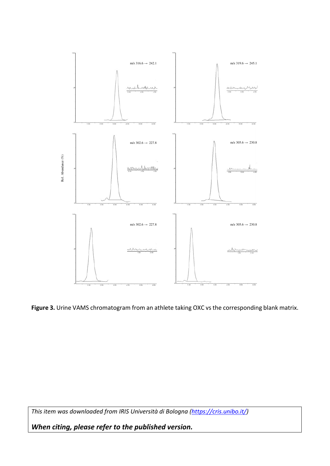

**Figure 3.** Urine VAMS chromatogram from an athlete taking OXC vs the corresponding blank matrix.

*This item was downloaded from IRIS Università di Bologna [\(https://cris.unibo.it/\)](https://cris.unibo.it/)*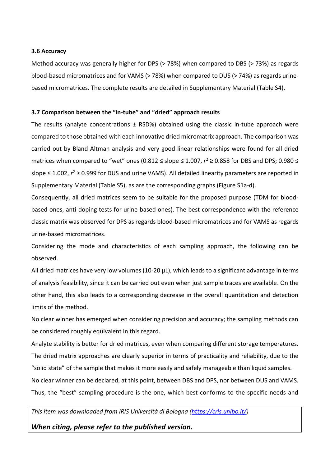### **3.6 Accuracy**

Method accuracy was generally higher for DPS (> 78%) when compared to DBS (> 73%) as regards blood-based micromatrices and for VAMS (> 78%) when compared to DUS (> 74%) as regards urinebased micromatrices. The complete results are detailed in Supplementary Material (Table S4).

# **3.7 Comparison between the "in-tube" and "dried" approach results**

The results (analyte concentrations  $\pm$  RSD%) obtained using the classic in-tube approach were compared to those obtained with each innovative dried micromatrix approach. The comparison was carried out by Bland Altman analysis and very good linear relationships were found for all dried matrices when compared to "wet" ones (0.812 ≤ slope ≤ 1.007,  $r^2$  ≥ 0.858 for DBS and DPS; 0.980 ≤ slope ≤ 1.002,  $r^2$  ≥ 0.999 for DUS and urine VAMS). All detailed linearity parameters are reported in Supplementary Material (Table S5), as are the corresponding graphs (Figure S1a-d).

Consequently, all dried matrices seem to be suitable for the proposed purpose (TDM for bloodbased ones, anti-doping tests for urine-based ones). The best correspondence with the reference classic matrix was observed for DPS as regards blood-based micromatrices and for VAMS as regards urine-based micromatrices.

Considering the mode and characteristics of each sampling approach, the following can be observed.

All dried matrices have very low volumes (10-20 µL), which leads to a significant advantage in terms of analysis feasibility, since it can be carried out even when just sample traces are available. On the other hand, this also leads to a corresponding decrease in the overall quantitation and detection limits of the method.

No clear winner has emerged when considering precision and accuracy; the sampling methods can be considered roughly equivalent in this regard.

Analyte stability is better for dried matrices, even when comparing different storage temperatures. The dried matrix approaches are clearly superior in terms of practicality and reliability, due to the "solid state" of the sample that makes it more easily and safely manageable than liquid samples. No clear winner can be declared, at this point, between DBS and DPS, nor between DUS and VAMS.

Thus, the "best" sampling procedure is the one, which best conforms to the specific needs and

*This item was downloaded from IRIS Università di Bologna [\(https://cris.unibo.it/\)](https://cris.unibo.it/)*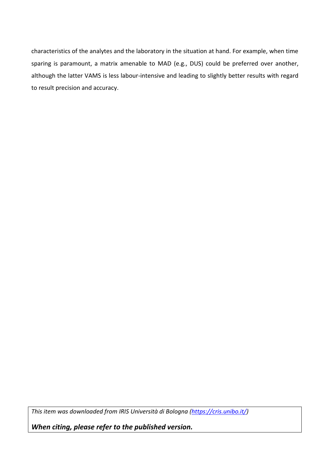characteristics of the analytes and the laboratory in the situation at hand. For example, when time sparing is paramount, a matrix amenable to MAD (e.g., DUS) could be preferred over another, although the latter VAMS is less labour-intensive and leading to slightly better results with regard to result precision and accuracy.

*This item was downloaded from IRIS Università di Bologna [\(https://cris.unibo.it/\)](https://cris.unibo.it/)*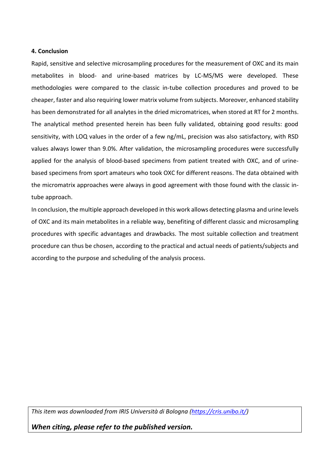### **4. Conclusion**

Rapid, sensitive and selective microsampling procedures for the measurement of OXC and its main metabolites in blood- and urine-based matrices by LC-MS/MS were developed. These methodologies were compared to the classic in-tube collection procedures and proved to be cheaper, faster and also requiring lower matrix volume from subjects. Moreover, enhanced stability has been demonstrated for all analytes in the dried micromatrices, when stored at RT for 2 months. The analytical method presented herein has been fully validated, obtaining good results: good sensitivity, with LOQ values in the order of a few ng/mL, precision was also satisfactory, with RSD values always lower than 9.0%. After validation, the microsampling procedures were successfully applied for the analysis of blood-based specimens from patient treated with OXC, and of urinebased specimens from sport amateurs who took OXC for different reasons. The data obtained with the micromatrix approaches were always in good agreement with those found with the classic intube approach.

In conclusion, the multiple approach developed in this work allows detecting plasma and urine levels of OXC and its main metabolites in a reliable way, benefiting of different classic and microsampling procedures with specific advantages and drawbacks. The most suitable collection and treatment procedure can thus be chosen, according to the practical and actual needs of patients/subjects and according to the purpose and scheduling of the analysis process.

*This item was downloaded from IRIS Università di Bologna [\(https://cris.unibo.it/\)](https://cris.unibo.it/)*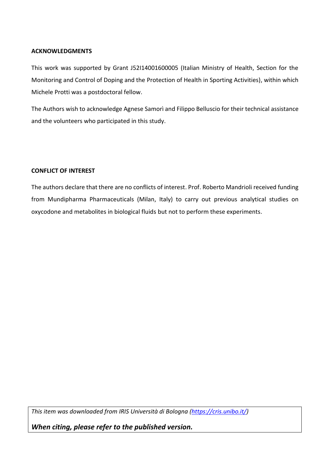# **ACKNOWLEDGMENTS**

This work was supported by Grant J52I14001600005 (Italian Ministry of Health, Section for the Monitoring and Control of Doping and the Protection of Health in Sporting Activities), within which Michele Protti was a postdoctoral fellow.

The Authors wish to acknowledge Agnese Samorì and Filippo Belluscio for their technical assistance and the volunteers who participated in this study.

# **CONFLICT OF INTEREST**

The authors declare that there are no conflicts of interest. Prof. Roberto Mandrioli received funding from Mundipharma Pharmaceuticals (Milan, Italy) to carry out previous analytical studies on oxycodone and metabolites in biological fluids but not to perform these experiments.

*This item was downloaded from IRIS Università di Bologna [\(https://cris.unibo.it/\)](https://cris.unibo.it/)*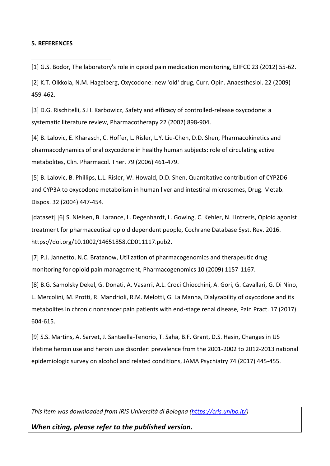#### **5. REFERENCES**

<u>.</u>

[1] G.S. Bodor, The laboratory's role in opioid pain medication monitoring, EJIFCC 23 (2012) 55-62.

[2] K.T. Olkkola, N.M. Hagelberg, Oxycodone: new 'old' drug, Curr. Opin. Anaesthesiol. 22 (2009) 459-462.

[3] D.G. Rischitelli, S.H. Karbowicz, Safety and efficacy of controlled-release oxycodone: a systematic literature review, Pharmacotherapy 22 (2002) 898-904.

[4] B. Lalovic, E. Kharasch, C. Hoffer, L. Risler, L.Y. Liu-Chen, D.D. Shen, Pharmacokinetics and pharmacodynamics of oral oxycodone in healthy human subjects: role of circulating active metabolites, Clin. Pharmacol. Ther. 79 (2006) 461-479.

[5] B. Lalovic, B. Phillips, L.L. Risler, W. Howald, D.D. Shen, Quantitative contribution of CYP2D6 and CYP3A to oxycodone metabolism in human liver and intestinal microsomes, Drug. Metab. Dispos. 32 (2004) 447-454.

[dataset] [6] S. Nielsen, B. Larance, L. Degenhardt, L. Gowing, C. Kehler, N. Lintzeris, Opioid agonist treatment for pharmaceutical opioid dependent people, Cochrane Database Syst. Rev. 2016. https://doi.org/10.1002/14651858.CD011117.pub2.

[7] P.J. Jannetto, N.C. Bratanow, Utilization of pharmacogenomics and therapeutic drug monitoring for opioid pain management, Pharmacogenomics 10 (2009) 1157-1167.

[8] B.G. Samolsky Dekel, G. Donati, A. Vasarri, A.L. Croci Chiocchini, A. Gori, G. Cavallari, G. Di Nino, L. Mercolini, M. Protti, R. Mandrioli, R.M. Melotti, G. La Manna, Dialyzability of oxycodone and its metabolites in chronic noncancer pain patients with end-stage renal disease, Pain Pract. 17 (2017) 604-615.

[9] S.S. Martins, A. Sarvet, J. Santaella-Tenorio, T. Saha, B.F. Grant, D.S. Hasin, Changes in US lifetime heroin use and heroin use disorder: prevalence from the 2001-2002 to 2012-2013 national epidemiologic survey on alcohol and related conditions, JAMA Psychiatry 74 (2017) 445-455.

*This item was downloaded from IRIS Università di Bologna [\(https://cris.unibo.it/\)](https://cris.unibo.it/)*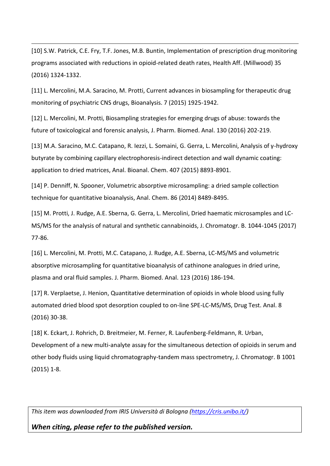[10] S.W. Patrick, C.E. Fry, T.F. Jones, M.B. Buntin, Implementation of prescription drug monitoring programs associated with reductions in opioid-related death rates, Health Aff. (Millwood) 35 (2016) 1324-1332.

<u>.</u>

[11] L. Mercolini, M.A. Saracino, M. Protti, Current advances in biosampling for therapeutic drug monitoring of psychiatric CNS drugs, Bioanalysis. 7 (2015) 1925-1942.

[12] L. Mercolini, M. Protti, Biosampling strategies for emerging drugs of abuse: towards the future of toxicological and forensic analysis, J. Pharm. Biomed. Anal. 130 (2016) 202-219.

[13] M.A. Saracino, M.C. Catapano, R. Iezzi, L. Somaini, G. Gerra, L. Mercolini, Analysis of γ-hydroxy butyrate by combining capillary electrophoresis-indirect detection and wall dynamic coating: application to dried matrices, Anal. Bioanal. Chem. 407 (2015) 8893-8901.

[14] P. Denniff, N. Spooner, Volumetric absorptive microsampling: a dried sample collection technique for quantitative bioanalysis, Anal. Chem. 86 (2014) 8489-8495.

[15] M. Protti, J. Rudge, A.E. Sberna, G. Gerra, L. Mercolini, Dried haematic microsamples and LC-MS/MS for the analysis of natural and synthetic cannabinoids, J. Chromatogr. B. 1044-1045 (2017) 77-86.

[16] L. Mercolini, M. Protti, M.C. Catapano, J. Rudge, A.E. Sberna, LC-MS/MS and volumetric absorptive microsampling for quantitative bioanalysis of cathinone analogues in dried urine, plasma and oral fluid samples. J. Pharm. Biomed. Anal. 123 (2016) 186-194.

[17] R. Verplaetse, J. Henion, Quantitative determination of opioids in whole blood using fully automated dried blood spot desorption coupled to on-line SPE-LC-MS/MS, Drug Test. Anal. 8 (2016) 30-38.

[18] K. Eckart, J. Rohrich, D. Breitmeier, M. Ferner, R. Laufenberg-Feldmann, R. Urban, Development of a new multi-analyte assay for the simultaneous detection of opioids in serum and other body fluids using liquid chromatography-tandem mass spectrometry, J. Chromatogr. B 1001 (2015) 1-8.

*This item was downloaded from IRIS Università di Bologna [\(https://cris.unibo.it/\)](https://cris.unibo.it/)*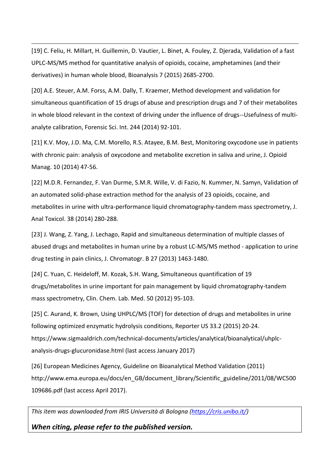[19] C. Feliu, H. Millart, H. Guillemin, D. Vautier, L. Binet, A. Fouley, Z. Djerada, Validation of a fast UPLC-MS/MS method for quantitative analysis of opioids, cocaine, amphetamines (and their derivatives) in human whole blood, Bioanalysis 7 (2015) 2685-2700.

<u>.</u>

[20] A.E. Steuer, A.M. Forss, A.M. Dally, T. Kraemer, Method development and validation for simultaneous quantification of 15 drugs of abuse and prescription drugs and 7 of their metabolites in whole blood relevant in the context of driving under the influence of drugs--Usefulness of multianalyte calibration, Forensic Sci. Int. 244 (2014) 92-101.

[21] K.V. Moy, J.D. Ma, C.M. Morello, R.S. Atayee, B.M. Best, Monitoring oxycodone use in patients with chronic pain: analysis of oxycodone and metabolite excretion in saliva and urine, J. Opioid Manag. 10 (2014) 47-56.

[22] M.D.R. Fernandez, F. Van Durme, S.M.R. Wille, V. di Fazio, N. Kummer, N. Samyn, Validation of an automated solid-phase extraction method for the analysis of 23 opioids, cocaine, and metabolites in urine with ultra-performance liquid chromatography-tandem mass spectrometry, J. Anal Toxicol. 38 (2014) 280-288.

[23] J. Wang, Z. Yang, J. Lechago, Rapid and simultaneous determination of multiple classes of abused drugs and metabolites in human urine by a robust LC-MS/MS method - application to urine drug testing in pain clinics, J. Chromatogr. B 27 (2013) 1463-1480.

[24] C. Yuan, C. Heideloff, M. Kozak, S.H. Wang, Simultaneous quantification of 19 drugs/metabolites in urine important for pain management by liquid chromatography-tandem mass spectrometry, Clin. Chem. Lab. Med. 50 (2012) 95-103.

[25] C. Aurand, K. Brown, Using UHPLC/MS (TOF) for detection of drugs and metabolites in urine following optimized enzymatic hydrolysis conditions, Reporter US 33.2 (2015) 20-24. https://www.sigmaaldrich.com/technical-documents/articles/analytical/bioanalytical/uhplcanalysis-drugs-glucuronidase.html (last access January 2017)

[26] European Medicines Agency, Guideline on Bioanalytical Method Validation (2011) http://www.ema.europa.eu/docs/en\_GB/document\_library/Scientific\_guideline/2011/08/WC500 109686.pdf (last access April 2017).

*This item was downloaded from IRIS Università di Bologna [\(https://cris.unibo.it/\)](https://cris.unibo.it/)*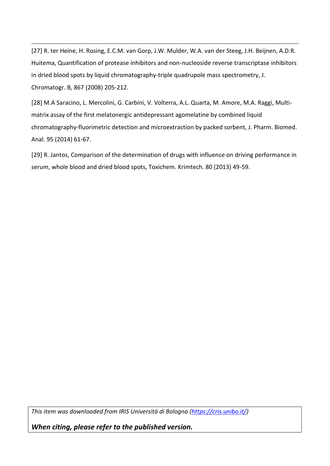[27] R. ter Heine, H. Rosing, E.C.M. van Gorp, J.W. Mulder, W.A. van der Steeg, J.H. Beijnen, A.D.R. Huitema, Quantification of protease inhibitors and non-nucleoside reverse transcriptase inhibitors in dried blood spots by liquid chromatography-triple quadrupole mass spectrometry, J. Chromatogr. B, 867 (2008) 205-212.

<u>.</u>

[28] M.A Saracino, L. Mercolini, G. Carbini, V. Volterra, A.L. Quarta, M. Amore, M.A. Raggi, Multimatrix assay of the first melatonergic antidepressant agomelatine by combined liquid chromatography-fluorimetric detection and microextraction by packed sorbent, J. Pharm. Biomed. Anal. 95 (2014) 61-67.

[29] R. Jantos, Comparison of the determination of drugs with influence on driving performance in serum, whole blood and dried blood spots, Toxichem. Krimtech. 80 (2013) 49-59.

*This item was downloaded from IRIS Università di Bologna [\(https://cris.unibo.it/\)](https://cris.unibo.it/)*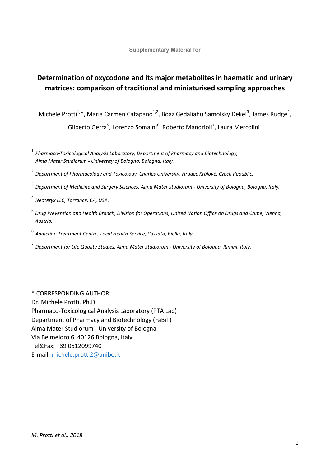**Supplementary Material for** 

# **Determination of oxycodone and its major metabolites in haematic and urinary matrices: comparison of traditional and miniaturised sampling approaches**

Michele Protti<sup>1,</sup>\*, Maria Carmen Catapano<sup>1,2</sup>, Boaz Gedaliahu Samolsky Dekel<sup>3</sup>, James Rudge<sup>4</sup>,

Gilberto Gerra<sup>5</sup>, Lorenzo Somaini<sup>6</sup>, Roberto Mandrioli<sup>7</sup>, Laura Mercolini<sup>1</sup>

1  *Pharmaco-Toxicological Analysis Laboratory, Department of Pharmacy and Biotechnology, Alma Mater Studiorum - University of Bologna, Bologna, Italy.* 

- 2  *Department of Pharmacology and Toxicology, Charles University, Hradec Králové, Czech Republic.*
- <sup>3</sup>*Department of Medicine and Surgery Sciences, Alma Mater Studiorum University of Bologna, Bologna, Italy.*
- <sup>4</sup>*Neoteryx LLC, Torrance, CA, USA.*
- <sup>5</sup>*Drug Prevention and Health Branch, Division for Operations, United Nation Office on Drugs and Crime, Vienna, Austria.*
- <sup>6</sup>*Addiction Treatment Centre, Local Health Service, Cossato, Biella, Italy.*
- 7 *Department for Life Quality Studies, Alma Mater Studiorum University of Bologna, Rimini, Italy.*

\* CORRESPONDING AUTHOR: Dr. Michele Protti, Ph.D. Pharmaco-Toxicological Analysis Laboratory (PTA Lab) Department of Pharmacy and Biotechnology (FaBiT) Alma Mater Studiorum - University of Bologna Via Belmeloro 6, 40126 Bologna, Italy Tel&Fax: +39 0512099740 E-mail: [michele.protti2@unibo.it](mailto:michele.protti2@unibo.it)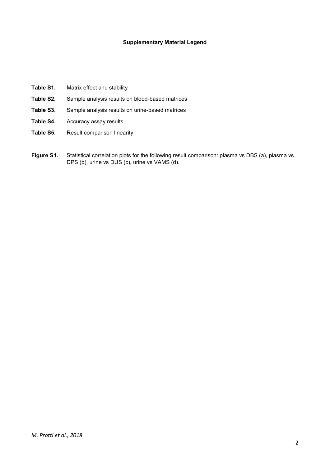#### **Supplementary Material Legend**

- **Table S1.** Matrix effect and stability **Table S2.** Sample analysis results on blood-based matrices
- **Table S3.** Sample analysis results on urine-based matrices
- **Table S4.** Accuracy assay results
- Table S5. Result comparison linearity
- Figure S1. Statistical correlation plots for the following result comparison: plasma vs DBS (a), plasma vs DPS (b), urine vs DUS (c), urine vs VAMS (d).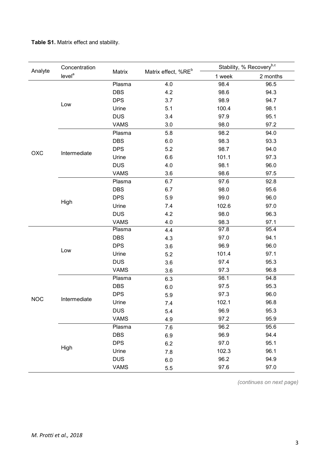**Table S1.** Matrix effect and stability.

| Analyte<br>OXC<br><b>NOC</b> | Concentration      |                                                                                                                                                                                                                                                                                                                                                                                                                                                                                                                                                                                                                                |     |                                                                                                                                                                                                                                                                                                                                                  | Stability, % Recovery <sup>b,c</sup>                         |  |  |  |
|------------------------------|--------------------|--------------------------------------------------------------------------------------------------------------------------------------------------------------------------------------------------------------------------------------------------------------------------------------------------------------------------------------------------------------------------------------------------------------------------------------------------------------------------------------------------------------------------------------------------------------------------------------------------------------------------------|-----|--------------------------------------------------------------------------------------------------------------------------------------------------------------------------------------------------------------------------------------------------------------------------------------------------------------------------------------------------|--------------------------------------------------------------|--|--|--|
|                              | level <sup>a</sup> |                                                                                                                                                                                                                                                                                                                                                                                                                                                                                                                                                                                                                                |     | 1 week                                                                                                                                                                                                                                                                                                                                           | 2 months                                                     |  |  |  |
|                              |                    | Plasma                                                                                                                                                                                                                                                                                                                                                                                                                                                                                                                                                                                                                         | 4.0 | 98.4                                                                                                                                                                                                                                                                                                                                             | 96.5                                                         |  |  |  |
|                              |                    | <b>DBS</b>                                                                                                                                                                                                                                                                                                                                                                                                                                                                                                                                                                                                                     | 4.2 | 98.6                                                                                                                                                                                                                                                                                                                                             | 94.3                                                         |  |  |  |
|                              |                    | <b>DPS</b>                                                                                                                                                                                                                                                                                                                                                                                                                                                                                                                                                                                                                     | 3.7 | 98.9                                                                                                                                                                                                                                                                                                                                             | 94.7                                                         |  |  |  |
|                              |                    | Urine                                                                                                                                                                                                                                                                                                                                                                                                                                                                                                                                                                                                                          | 5.1 | 100.4                                                                                                                                                                                                                                                                                                                                            | 98.1                                                         |  |  |  |
|                              |                    | <b>DUS</b>                                                                                                                                                                                                                                                                                                                                                                                                                                                                                                                                                                                                                     | 3.4 | 97.9                                                                                                                                                                                                                                                                                                                                             | 95.1                                                         |  |  |  |
|                              |                    | <b>VAMS</b>                                                                                                                                                                                                                                                                                                                                                                                                                                                                                                                                                                                                                    | 3.0 | 98.0                                                                                                                                                                                                                                                                                                                                             | 97.2                                                         |  |  |  |
|                              |                    | Matrix effect, %RE <sup>b</sup><br>Matrix<br>5.8<br>Plasma<br><b>DBS</b><br>6.0<br><b>DPS</b><br>5.2<br>Urine<br>6.6<br><b>DUS</b><br>4.0<br>3.6<br><b>VAMS</b><br>6.7<br>Plasma<br>6.7<br><b>DBS</b><br><b>DPS</b><br>5.9<br>Urine<br>7.4<br>4.2<br><b>DUS</b><br><b>VAMS</b><br>4.0<br>Plasma<br>4.4<br>DBS<br>4.3<br><b>DPS</b><br>3.6<br>Urine<br>5.2<br><b>DUS</b><br>3.6<br><b>VAMS</b><br>3.6<br>Plasma<br>6.3<br><b>DBS</b><br>$6.0\,$<br><b>DPS</b><br>5.9<br>Urine<br>7.4<br><b>DUS</b><br>5.4<br><b>VAMS</b><br>4.9<br>Plasma<br>7.6<br><b>DBS</b><br>6.9<br><b>DPS</b><br>6.2<br>Urine<br>7.8<br><b>DUS</b><br>6.0 |     | 98.2                                                                                                                                                                                                                                                                                                                                             | 94.0                                                         |  |  |  |
|                              |                    |                                                                                                                                                                                                                                                                                                                                                                                                                                                                                                                                                                                                                                |     | 98.3<br>93.3<br>98.7<br>94.0<br>101.1<br>97.3<br>98.1<br>96.0<br>98.6<br>97.5<br>97.6<br>92.8<br>98.0<br>95.6<br>99.0<br>96.0<br>102.6<br>97.0<br>98.0<br>96.3<br>98.3<br>97.1<br>97.8<br>95.4<br>94.1<br>97.0<br>96.9<br>96.0<br>101.4<br>97.1<br>95.3<br>97.4<br>96.8<br>97.3<br>98.1<br>94.8<br>95.3<br>97.5<br>96.0<br>97.3<br>102.1<br>96.8 |                                                              |  |  |  |
|                              |                    |                                                                                                                                                                                                                                                                                                                                                                                                                                                                                                                                                                                                                                |     |                                                                                                                                                                                                                                                                                                                                                  | 95.3<br>95.9<br>95.6<br>94.4<br>95.1<br>96.1<br>94.9<br>97.0 |  |  |  |
|                              | Intermediate       |                                                                                                                                                                                                                                                                                                                                                                                                                                                                                                                                                                                                                                |     |                                                                                                                                                                                                                                                                                                                                                  |                                                              |  |  |  |
|                              |                    |                                                                                                                                                                                                                                                                                                                                                                                                                                                                                                                                                                                                                                |     |                                                                                                                                                                                                                                                                                                                                                  |                                                              |  |  |  |
|                              |                    | <b>VAMS</b>                                                                                                                                                                                                                                                                                                                                                                                                                                                                                                                                                                                                                    |     |                                                                                                                                                                                                                                                                                                                                                  |                                                              |  |  |  |
|                              |                    |                                                                                                                                                                                                                                                                                                                                                                                                                                                                                                                                                                                                                                |     |                                                                                                                                                                                                                                                                                                                                                  |                                                              |  |  |  |
|                              |                    |                                                                                                                                                                                                                                                                                                                                                                                                                                                                                                                                                                                                                                |     |                                                                                                                                                                                                                                                                                                                                                  |                                                              |  |  |  |
|                              |                    |                                                                                                                                                                                                                                                                                                                                                                                                                                                                                                                                                                                                                                |     |                                                                                                                                                                                                                                                                                                                                                  |                                                              |  |  |  |
|                              | High               |                                                                                                                                                                                                                                                                                                                                                                                                                                                                                                                                                                                                                                |     |                                                                                                                                                                                                                                                                                                                                                  |                                                              |  |  |  |
|                              |                    |                                                                                                                                                                                                                                                                                                                                                                                                                                                                                                                                                                                                                                |     |                                                                                                                                                                                                                                                                                                                                                  |                                                              |  |  |  |
|                              |                    |                                                                                                                                                                                                                                                                                                                                                                                                                                                                                                                                                                                                                                |     |                                                                                                                                                                                                                                                                                                                                                  |                                                              |  |  |  |
| Low<br>Low                   |                    |                                                                                                                                                                                                                                                                                                                                                                                                                                                                                                                                                                                                                                |     |                                                                                                                                                                                                                                                                                                                                                  |                                                              |  |  |  |
|                              |                    |                                                                                                                                                                                                                                                                                                                                                                                                                                                                                                                                                                                                                                |     |                                                                                                                                                                                                                                                                                                                                                  |                                                              |  |  |  |
|                              |                    |                                                                                                                                                                                                                                                                                                                                                                                                                                                                                                                                                                                                                                |     |                                                                                                                                                                                                                                                                                                                                                  |                                                              |  |  |  |
|                              |                    |                                                                                                                                                                                                                                                                                                                                                                                                                                                                                                                                                                                                                                |     |                                                                                                                                                                                                                                                                                                                                                  |                                                              |  |  |  |
|                              |                    |                                                                                                                                                                                                                                                                                                                                                                                                                                                                                                                                                                                                                                |     |                                                                                                                                                                                                                                                                                                                                                  |                                                              |  |  |  |
|                              |                    |                                                                                                                                                                                                                                                                                                                                                                                                                                                                                                                                                                                                                                |     |                                                                                                                                                                                                                                                                                                                                                  |                                                              |  |  |  |
|                              |                    |                                                                                                                                                                                                                                                                                                                                                                                                                                                                                                                                                                                                                                |     |                                                                                                                                                                                                                                                                                                                                                  |                                                              |  |  |  |
|                              |                    |                                                                                                                                                                                                                                                                                                                                                                                                                                                                                                                                                                                                                                |     |                                                                                                                                                                                                                                                                                                                                                  |                                                              |  |  |  |
|                              | Intermediate       |                                                                                                                                                                                                                                                                                                                                                                                                                                                                                                                                                                                                                                |     |                                                                                                                                                                                                                                                                                                                                                  |                                                              |  |  |  |
|                              |                    |                                                                                                                                                                                                                                                                                                                                                                                                                                                                                                                                                                                                                                |     |                                                                                                                                                                                                                                                                                                                                                  |                                                              |  |  |  |
|                              |                    |                                                                                                                                                                                                                                                                                                                                                                                                                                                                                                                                                                                                                                |     | 96.9                                                                                                                                                                                                                                                                                                                                             |                                                              |  |  |  |
|                              |                    |                                                                                                                                                                                                                                                                                                                                                                                                                                                                                                                                                                                                                                |     | 97.2                                                                                                                                                                                                                                                                                                                                             |                                                              |  |  |  |
|                              |                    |                                                                                                                                                                                                                                                                                                                                                                                                                                                                                                                                                                                                                                |     | 96.2                                                                                                                                                                                                                                                                                                                                             |                                                              |  |  |  |
|                              |                    |                                                                                                                                                                                                                                                                                                                                                                                                                                                                                                                                                                                                                                |     | 96.9                                                                                                                                                                                                                                                                                                                                             |                                                              |  |  |  |
|                              |                    |                                                                                                                                                                                                                                                                                                                                                                                                                                                                                                                                                                                                                                |     | 97.0                                                                                                                                                                                                                                                                                                                                             |                                                              |  |  |  |
|                              | High               |                                                                                                                                                                                                                                                                                                                                                                                                                                                                                                                                                                                                                                |     | 102.3                                                                                                                                                                                                                                                                                                                                            |                                                              |  |  |  |
|                              |                    |                                                                                                                                                                                                                                                                                                                                                                                                                                                                                                                                                                                                                                |     | 96.2                                                                                                                                                                                                                                                                                                                                             |                                                              |  |  |  |
|                              |                    |                                                                                                                                                                                                                                                                                                                                                                                                                                                                                                                                                                                                                                | 5.5 | 97.6                                                                                                                                                                                                                                                                                                                                             |                                                              |  |  |  |

*(continues on next page)*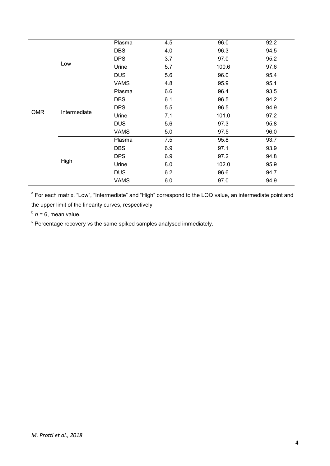|            |              | Plasma      | 4.5 | 96.0  | 92.2 |
|------------|--------------|-------------|-----|-------|------|
|            |              | <b>DBS</b>  | 4.0 | 96.3  | 94.5 |
|            | Low          | <b>DPS</b>  | 3.7 | 97.0  | 95.2 |
|            |              | Urine       | 5.7 | 100.6 | 97.6 |
|            |              | <b>DUS</b>  | 5.6 | 96.0  | 95.4 |
|            |              | <b>VAMS</b> | 4.8 | 95.9  | 95.1 |
|            |              | Plasma      | 6.6 | 96.4  | 93.5 |
|            | Intermediate | <b>DBS</b>  | 6.1 | 96.5  | 94.2 |
|            |              | <b>DPS</b>  | 5.5 | 96.5  | 94.9 |
| <b>OMR</b> |              | Urine       | 7.1 | 101.0 | 97.2 |
|            |              | <b>DUS</b>  | 5.6 | 97.3  | 95.8 |
|            |              | <b>VAMS</b> | 5.0 | 97.5  | 96.0 |
|            |              | Plasma      | 7.5 | 95.8  | 93.7 |
|            |              | <b>DBS</b>  | 6.9 | 97.1  | 93.9 |
|            |              | <b>DPS</b>  | 6.9 | 97.2  | 94.8 |
|            | High         | Urine       | 8.0 | 102.0 | 95.9 |
|            |              | <b>DUS</b>  | 6.2 | 96.6  | 94.7 |
|            |              | <b>VAMS</b> | 6.0 | 97.0  | 94.9 |

<sup>a</sup> For each matrix, "Low", "Intermediate" and "High" correspond to the LOQ value, an intermediate point and the upper limit of the linearity curves, respectively.

 $<sup>b</sup>$   $n = 6$ , mean value.</sup>

*c* Percentage recovery vs the same spiked samples analysed immediately.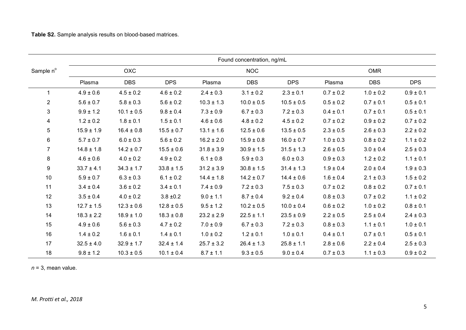|                 | Found concentration, ng/mL |                |                |                |                |                |               |               |               |  |  |
|-----------------|----------------------------|----------------|----------------|----------------|----------------|----------------|---------------|---------------|---------------|--|--|
| Sample n°       |                            | <b>OXC</b>     |                |                | <b>NOC</b>     |                |               | <b>OMR</b>    |               |  |  |
|                 | Plasma                     | <b>DBS</b>     | <b>DPS</b>     | Plasma         | <b>DBS</b>     | <b>DPS</b>     | Plasma        | <b>DBS</b>    | <b>DPS</b>    |  |  |
| 1               | $4.9 \pm 0.6$              | $4.5 \pm 0.2$  | $4.6 \pm 0.2$  | $2.4 \pm 0.3$  | $3.1 \pm 0.2$  | $2.3 \pm 0.1$  | $0.7 \pm 0.2$ | $1.0 \pm 0.2$ | $0.9 \pm 0.1$ |  |  |
| $\overline{2}$  | $5.6 \pm 0.7$              | $5.8 \pm 0.3$  | $5.6 \pm 0.2$  | $10.3 \pm 1.3$ | $10.0 \pm 0.5$ | $10.5 \pm 0.5$ | $0.5 \pm 0.2$ | $0.7 \pm 0.1$ | $0.5 \pm 0.1$ |  |  |
| 3               | $9.9 \pm 1.2$              | $10.1 \pm 0.5$ | $9.8 \pm 0.4$  | $7.3 \pm 0.9$  | $6.7 \pm 0.3$  | $7.2 \pm 0.3$  | $0.4 \pm 0.1$ | $0.7 \pm 0.1$ | $0.5 \pm 0.1$ |  |  |
| 4               | $1.2 \pm 0.2$              | $1.8 \pm 0.1$  | $1.5 \pm 0.1$  | $4.6 \pm 0.6$  | $4.8 \pm 0.2$  | $4.5 \pm 0.2$  | $0.7 \pm 0.2$ | $0.9 \pm 0.2$ | $0.7 \pm 0.2$ |  |  |
| 5               | $15.9 \pm 1.9$             | $16.4 \pm 0.8$ | $15.5 \pm 0.7$ | $13.1 \pm 1.6$ | $12.5 \pm 0.6$ | $13.5 \pm 0.5$ | $2.3 \pm 0.5$ | $2.6 \pm 0.3$ | $2.2\pm0.2$   |  |  |
| $6\phantom{.0}$ | $5.7 \pm 0.7$              | $6.0 \pm 0.3$  | $5.6 \pm 0.2$  | $16.2 \pm 2.0$ | $15.9 \pm 0.8$ | $16.0 \pm 0.7$ | $1.0 \pm 0.3$ | $0.8 \pm 0.2$ | $1.1 \pm 0.2$ |  |  |
| $\overline{7}$  | $14.8 \pm 1.8$             | $14.2 \pm 0.7$ | $15.5 \pm 0.6$ | $31.8 \pm 3.9$ | $30.9 \pm 1.5$ | $31.5 \pm 1.3$ | $2.6 \pm 0.5$ | $3.0 \pm 0.4$ | $2.5 \pm 0.3$ |  |  |
| 8               | $4.6 \pm 0.6$              | $4.0 \pm 0.2$  | $4.9 \pm 0.2$  | $6.1 \pm 0.8$  | $5.9 \pm 0.3$  | $6.0 \pm 0.3$  | $0.9 \pm 0.3$ | $1.2 \pm 0.2$ | $1.1 \pm 0.1$ |  |  |
| 9               | $33.7 \pm 4.1$             | $34.3 \pm 1.7$ | $33.8 \pm 1.5$ | $31.2 \pm 3.9$ | $30.8 \pm 1.5$ | $31.4 \pm 1.3$ | $1.9 \pm 0.4$ | $2.0 \pm 0.4$ | $1.9 \pm 0.3$ |  |  |
| $10$            | $5.9 \pm 0.7$              | $6.3 \pm 0.3$  | $6.1 \pm 0.2$  | $14.4 \pm 1.8$ | $14.2 \pm 0.7$ | $14.4 \pm 0.6$ | $1.6 \pm 0.4$ | $2.1 \pm 0.3$ | $1.5 \pm 0.2$ |  |  |
| 11              | $3.4 \pm 0.4$              | $3.6 \pm 0.2$  | $3.4 \pm 0.1$  | $7.4 \pm 0.9$  | $7.2 \pm 0.3$  | $7.5 \pm 0.3$  | $0.7\pm0.2$   | $0.8 \pm 0.2$ | $0.7 \pm 0.1$ |  |  |
| 12              | $3.5 \pm 0.4$              | $4.0 \pm 0.2$  | $3.8 \pm 0.2$  | $9.0 \pm 1.1$  | $8.7 \pm 0.4$  | $9.2 \pm 0.4$  | $0.8 \pm 0.3$ | $0.7 \pm 0.2$ | $1.1 \pm 0.2$ |  |  |
| 13              | $12.7 \pm 1.5$             | $12.3 \pm 0.6$ | $12.8 \pm 0.5$ | $9.5 \pm 1.2$  | $10.2 \pm 0.5$ | $10.0 \pm 0.4$ | $0.6 \pm 0.2$ | $1.0 \pm 0.2$ | $0.8 \pm 0.1$ |  |  |
| 14              | $18.3 \pm 2.2$             | $18.9 \pm 1.0$ | $18.3 \pm 0.8$ | $23.2 \pm 2.9$ | $22.5 \pm 1.1$ | $23.5 \pm 0.9$ | $2.2 \pm 0.5$ | $2.5 \pm 0.4$ | $2.4 \pm 0.3$ |  |  |
| 15              | $4.9 \pm 0.6$              | $5.6 \pm 0.3$  | $4.7 \pm 0.2$  | $7.0 \pm 0.9$  | $6.7 \pm 0.3$  | $7.2 \pm 0.3$  | $0.8 \pm 0.3$ | $1.1 \pm 0.1$ | $1.0 \pm 0.1$ |  |  |
| 16              | $1.4 \pm 0.2$              | $1.6 \pm 0.1$  | $1.4 \pm 0.1$  | $1.0 \pm 0.2$  | $1.2 \pm 0.1$  | $1.0 \pm 0.1$  | $0.4 \pm 0.1$ | $0.7 \pm 0.1$ | $0.5 \pm 0.1$ |  |  |
| 17              | $32.5 \pm 4.0$             | $32.9 \pm 1.7$ | $32.4 \pm 1.4$ | $25.7 \pm 3.2$ | $26.4 \pm 1.3$ | $25.8 \pm 1.1$ | $2.8 \pm 0.6$ | $2.2 \pm 0.4$ | $2.5 \pm 0.3$ |  |  |
| 18              | $9.8 \pm 1.2$              | $10.3 \pm 0.5$ | $10.1 \pm 0.4$ | $8.7 \pm 1.1$  | $9.3 \pm 0.5$  | $9.0 \pm 0.4$  | $0.7 \pm 0.3$ | $1.1 \pm 0.3$ | $0.9 \pm 0.2$ |  |  |

*n* = 3, mean value.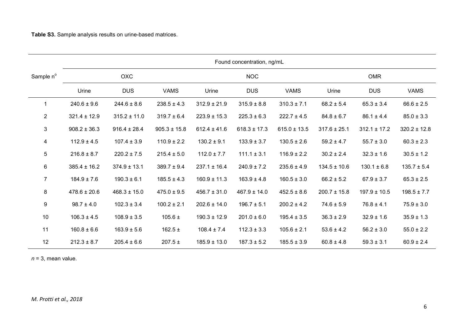|                  | Found concentration, ng/mL |                  |                  |                  |                  |                  |                  |                  |                  |  |
|------------------|----------------------------|------------------|------------------|------------------|------------------|------------------|------------------|------------------|------------------|--|
| Sample n°        |                            | OXC              |                  |                  | <b>NOC</b>       |                  | <b>OMR</b>       |                  |                  |  |
|                  | Urine                      | <b>DUS</b>       | <b>VAMS</b>      | Urine            | <b>DUS</b>       | <b>VAMS</b>      | Urine            | <b>DUS</b>       | <b>VAMS</b>      |  |
| 1                | $240.6 \pm 9.6$            | $244.6 \pm 8.6$  | $238.5 \pm 4.3$  | $312.9 \pm 21.9$ | $315.9 \pm 8.8$  | $310.3 \pm 7.1$  | $68.2 \pm 5.4$   | $65.3 \pm 3.4$   | $66.6 \pm 2.5$   |  |
| $\overline{2}$   | $321.4 \pm 12.9$           | $315.2 \pm 11.0$ | $319.7 \pm 6.4$  | $223.9 \pm 15.3$ | $225.3 \pm 6.3$  | $222.7 \pm 4.5$  | $84.8 \pm 6.7$   | $86.1 \pm 4.4$   | $85.0 \pm 3.3$   |  |
| 3                | $908.2 \pm 36.3$           | $916.4 \pm 28.4$ | $905.3 \pm 15.8$ | $612.4 \pm 41.6$ | $618.3 \pm 17.3$ | $615.0 \pm 13.5$ | $317.6 \pm 25.1$ | $312.1 \pm 17.2$ | $320.2 \pm 12.8$ |  |
| 4                | $112.9 \pm 4.5$            | $107.4 \pm 3.9$  | $110.9 \pm 2.2$  | $130.2 \pm 9.1$  | $133.9 \pm 3.7$  | $130.5 \pm 2.6$  | $59.2 \pm 4.7$   | $55.7 \pm 3.0$   | $60.3 \pm 2.3$   |  |
| 5                | $216.8 \pm 8.7$            | $220.2 \pm 7.5$  | $215.4 \pm 5.0$  | $112.0 \pm 7.7$  | $111.1 \pm 3.1$  | $116.9 \pm 2.2$  | $30.2 \pm 2.4$   | $32.3 \pm 1.6$   | $30.5 \pm 1.2$   |  |
| 6                | $385.4 \pm 16.2$           | $374.9 \pm 13.1$ | $389.7 \pm 9.4$  | $237.1 \pm 16.4$ | $240.9 \pm 7.2$  | $235.6 \pm 4.9$  | $134.5 \pm 10.6$ | $130.1 \pm 6.8$  | $135.7 \pm 5.4$  |  |
| $\overline{7}$   | $184.9 \pm 7.6$            | $190.3 \pm 6.1$  | $185.5 \pm 4.3$  | $160.9 \pm 11.3$ | $163.9 \pm 4.8$  | $160.5 \pm 3.0$  | $66.2 \pm 5.2$   | $67.9 \pm 3.7$   | $65.3 \pm 2.5$   |  |
| 8                | $478.6 \pm 20.6$           | $468.3 \pm 15.0$ | $475.0 \pm 9.5$  | $456.7 \pm 31.0$ | $467.9 \pm 14.0$ | $452.5 \pm 8.6$  | $200.7 \pm 15.8$ | $197.9 \pm 10.5$ | $198.5 \pm 7.7$  |  |
| $\boldsymbol{9}$ | $98.7 \pm 4.0$             | $102.3 \pm 3.4$  | $100.2 \pm 2.1$  | $202.6 \pm 14.0$ | $196.7 \pm 5.1$  | $200.2 \pm 4.2$  | $74.6 \pm 5.9$   | $76.8 \pm 4.1$   | $75.9 \pm 3.0$   |  |
| 10               | $106.3 \pm 4.5$            | $108.9 \pm 3.5$  | $105.6 \pm$      | $190.3 \pm 12.9$ | $201.0 \pm 6.0$  | $195.4 \pm 3.5$  | $36.3 \pm 2.9$   | $32.9 \pm 1.6$   | $35.9 \pm 1.3$   |  |
| 11               | $160.8 \pm 6.6$            | $163.9 \pm 5.6$  | 162.5 $\pm$      | $108.4 \pm 7.4$  | $112.3 \pm 3.3$  | $105.6 \pm 2.1$  | $53.6 \pm 4.2$   | $56.2 \pm 3.0$   | $55.0 \pm 2.2$   |  |
| 12               | $212.3 \pm 8.7$            | $205.4 \pm 6.6$  | $207.5 \pm$      | $185.9 \pm 13.0$ | $187.3 \pm 5.2$  | $185.5 \pm 3.9$  | $60.8 \pm 4.8$   | $59.3 \pm 3.1$   | $60.9 \pm 2.4$   |  |

*n* = 3, mean value.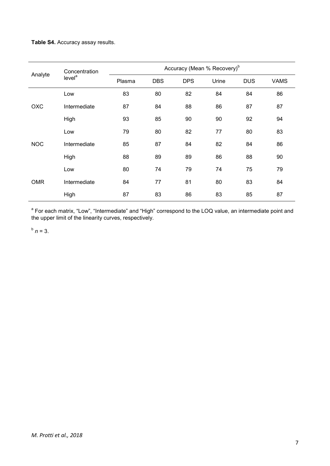# **Table S4.** Accuracy assay results.

|            | Concentration<br>level <sup>a</sup> | Accuracy (Mean % Recovery) <sup>b</sup> |            |            |       |            |             |  |  |  |  |
|------------|-------------------------------------|-----------------------------------------|------------|------------|-------|------------|-------------|--|--|--|--|
| Analyte    |                                     | Plasma                                  | <b>DBS</b> | <b>DPS</b> | Urine | <b>DUS</b> | <b>VAMS</b> |  |  |  |  |
| OXC        | Low                                 | 83                                      | 80         | 82         | 84    | 84         | 86          |  |  |  |  |
|            | Intermediate                        | 87                                      | 84         | 88         | 86    | 87         | 87          |  |  |  |  |
|            | High                                | 93                                      | 85         | 90         | 90    | 92         | 94          |  |  |  |  |
|            | Low                                 | 79                                      | 80         | 82         | 77    | 80         | 83          |  |  |  |  |
| <b>NOC</b> | Intermediate                        | 85                                      | 87         | 84         | 82    | 84         | 86          |  |  |  |  |
|            | High                                | 88                                      | 89         | 89         | 86    | 88         | 90          |  |  |  |  |
| <b>OMR</b> | Low                                 | 80                                      | 74         | 79         | 74    | 75         | 79          |  |  |  |  |
|            | Intermediate                        | 84                                      | 77         | 81         | 80    | 83         | 84          |  |  |  |  |
|            | High                                | 87                                      | 83         | 86         | 83    | 85         | 87          |  |  |  |  |

<sup>a</sup> For each matrix, "Low", "Intermediate" and "High" correspond to the LOQ value, an intermediate point and the upper limit of the linearity curves, respectively.

 $^{b}$   $n = 3$ .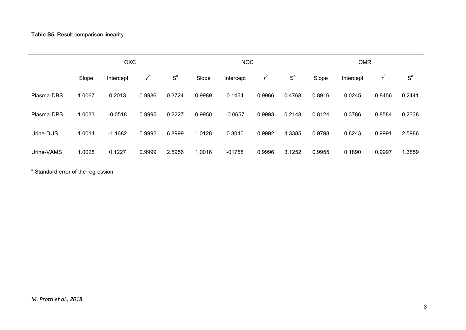**Table S5.** Result comparison linearity.

|            | <b>OXC</b> |           |        |        |        | <b>NOC</b> |        |        |        | <b>OMR</b> |        |        |  |
|------------|------------|-----------|--------|--------|--------|------------|--------|--------|--------|------------|--------|--------|--|
|            | Slope      | Intercept | ≁      | $S^a$  | Slope  | Intercept  | ≁      | $S^a$  | Slope  | Intercept  | ŕ      | $S^a$  |  |
| Plasma-DBS | 1.0067     | 0.2013    | 0.9986 | 0.3724 | 0.9989 | 0.1454     | 0.9966 | 0.4768 | 0.8916 | 0.0245     | 0.8456 | 0.2441 |  |
| Plasma-DPS | 1.0033     | $-0.0518$ | 0.9995 | 0.2227 | 0.9950 | $-0.0657$  | 0.9993 | 0.2148 | 0.8124 | 0.3786     | 0.8584 | 0.2338 |  |
| Urine-DUS  | 1.0014     | $-1.1682$ | 0.9992 | 6.8999 | 1.0128 | 0.3040     | 0.9992 | 4.3385 | 0.9798 | 0.8243     | 0.9991 | 2.5986 |  |
| Urine-VAMS | 1.0028     | 0.1227    | 0.9999 | 2.5956 | 1.0016 | $-01758$   | 0.9996 | 3.1252 | 0.9955 | 0.1890     | 0.9997 | 1.3859 |  |

<sup>a</sup> Standard error of the regression.